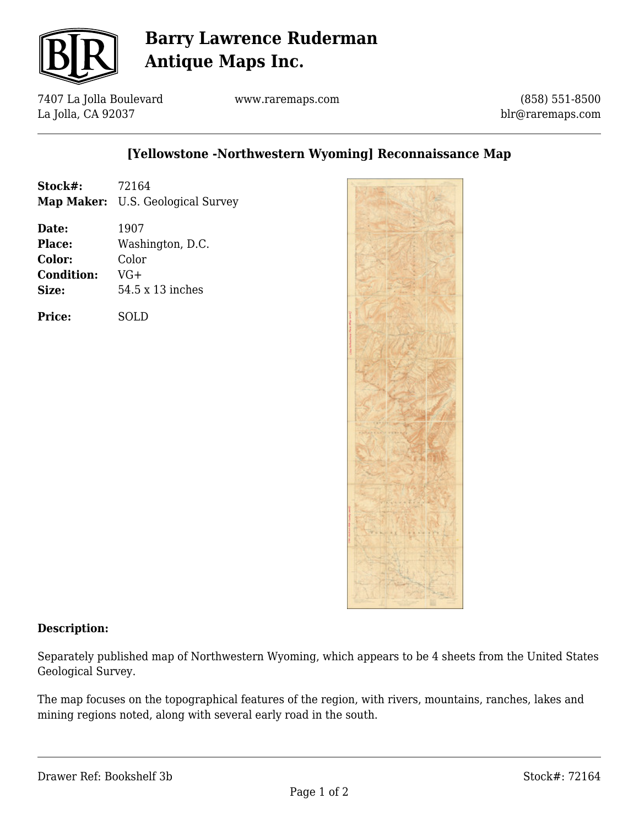

# **Barry Lawrence Ruderman Antique Maps Inc.**

7407 La Jolla Boulevard La Jolla, CA 92037

www.raremaps.com

(858) 551-8500 blr@raremaps.com

### **[Yellowstone -Northwestern Wyoming] Reconnaissance Map**

| Stock#: | 72164                                    |
|---------|------------------------------------------|
|         | <b>Map Maker:</b> U.S. Geological Survey |

**Date:** 1907 **Place:** Washington, D.C. **Color:** Color **Condition:** VG+ **Size:** 54.5 x 13 inches

**Price:** SOLD



#### **Description:**

Separately published map of Northwestern Wyoming, which appears to be 4 sheets from the United States Geological Survey.

The map focuses on the topographical features of the region, with rivers, mountains, ranches, lakes and mining regions noted, along with several early road in the south.